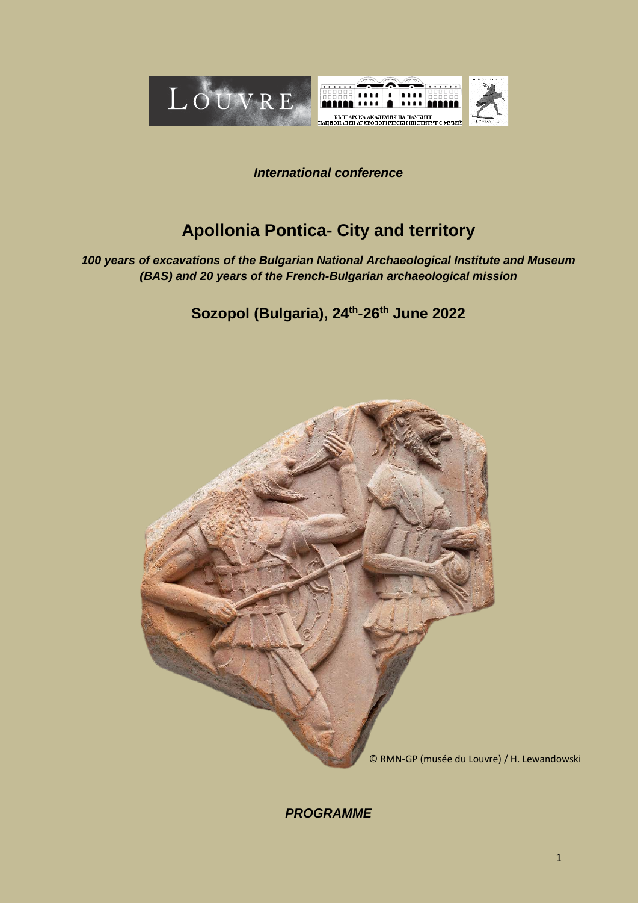

# *International conference*

# **Apollonia Pontica- City and territory**

*100 years of excavations of the Bulgarian National Archaeological Institute and Museum (BAS) and 20 years of the French-Bulgarian archaeological mission*

**Sozopol (Bulgaria), 24th-26th June 2022**



*PROGRAMME*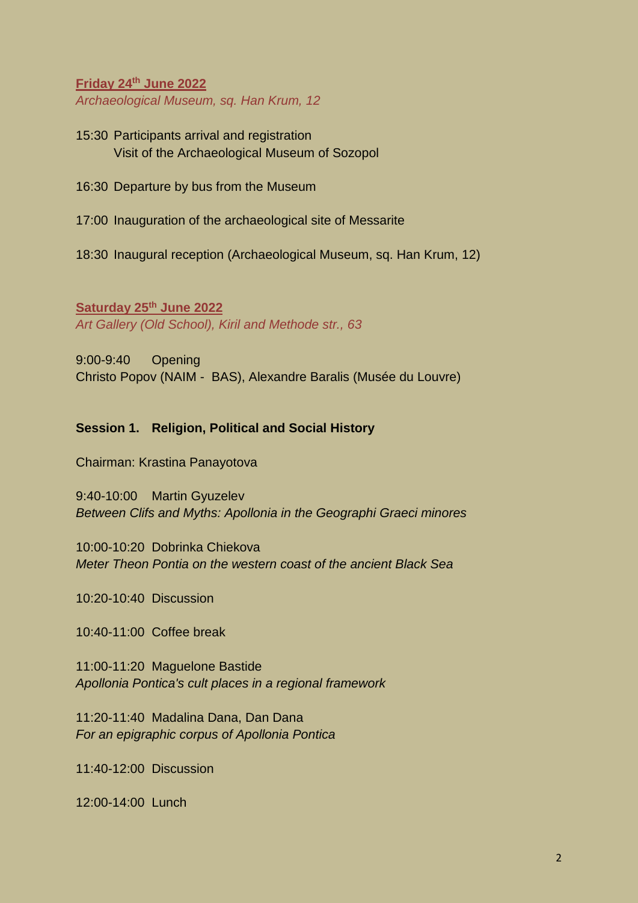**Friday 24th June 2022** *Archaeological Museum, sq. Han Krum, 12*

15:30 Participants arrival and registration Visit of the Archaeological Museum of Sozopol

16:30 Departure by bus from the Museum

17:00 Inauguration of the archaeological site of Messarite

18:30 Inaugural reception (Archaeological Museum, sq. Han Krum, 12)

**Saturday 25th June 2022** *Art Gallery (Old School), Kiril and Methode str., 63*

9:00-9:40 Opening Christo Popov (NAIM - BAS), Alexandre Baralis (Musée du Louvre)

# **Session 1. Religion, Political and Social History**

Chairman: Krastina Panayotova

9:40-10:00 Martin Gyuzelev *Between Clifs and Myths: Apollonia in the Geographi Graeci minores*

10:00-10:20 Dobrinka Chiekova *Meter Theon Pontia on the western coast of the ancient Black Sea*

10:20-10:40 Discussion

10:40-11:00 Coffee break

11:00-11:20 Maguelone Bastide *Apollonia Pontica's cult places in a regional framework*

11:20-11:40 Madalina Dana, Dan Dana *For an epigraphic corpus of Apollonia Pontica*

11:40-12:00 Discussion

12:00-14:00 Lunch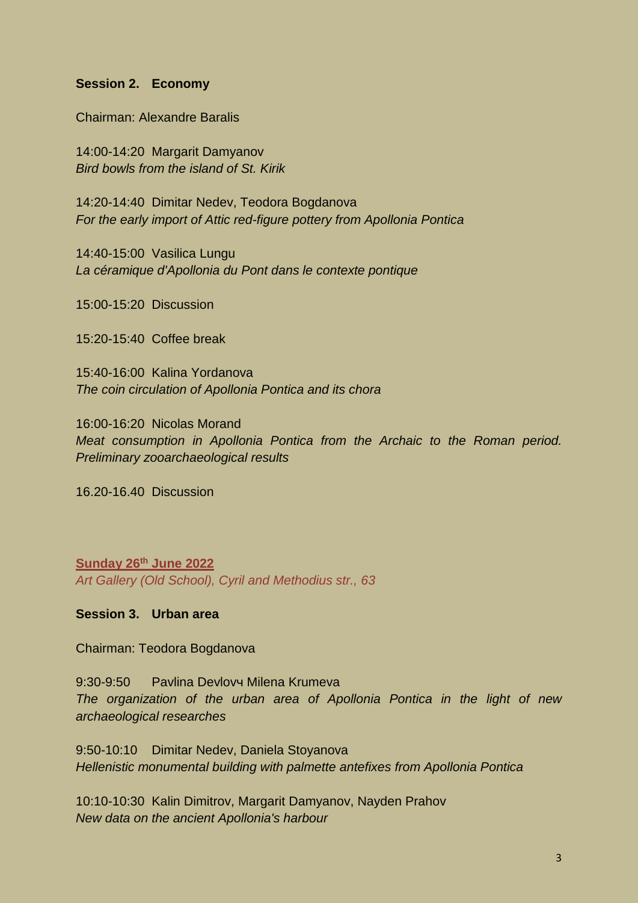#### **Session 2. Economy**

Chairman: Alexandre Baralis

14:00-14:20 Margarit Damyanov *Bird bowls from the island of St. Kirik*

14:20-14:40 Dimitar Nedev, Teodora Bogdanova *For the early import of Attic red-figure pottery from Apollonia Pontica*

14:40-15:00 Vasilica Lungu *La céramique d'Apollonia du Pont dans le contexte pontique*

15:00-15:20 Discussion

15:20-15:40 Coffee break

15:40-16:00 Kalina Yordanova *The coin circulation of Apollonia Pontica and its chora*

16:00-16:20 Nicolas Morand *Meat consumption in Apollonia Pontica from the Archaic to the Roman period. Preliminary zooarchaeological results*

16.20-16.40 Discussion

**Sunday 26th June 2022** *Art Gallery (Old School), Cyril and Methodius str., 63*

### **Session 3. Urban area**

Chairman: Teodora Bogdanova

9:30-9:50 Pavlina Devlovч Milena Krumeva *The organization of the urban area of Apollonia Pontica in the light of new archaeological researches*

9:50-10:10 Dimitar Nedev, Daniela Stoyanova *Hellenistic monumental building with palmette antefixes from Apollonia Pontica*

10:10-10:30 Kalin Dimitrov, Margarit Damyanov, Nayden Prahov *New data on the ancient Apollonia's harbour*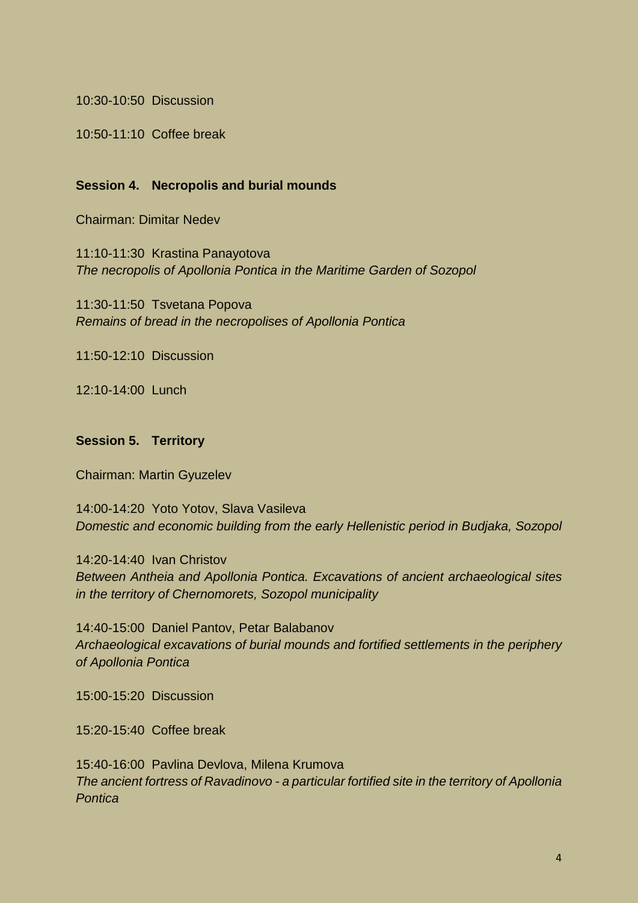10:30-10:50 Discussion

10:50-11:10 Coffee break

### **Session 4. Necropolis and burial mounds**

Chairman: Dimitar Nedev

11:10-11:30 Krastina Panayotova *The necropolis of Apollonia Pontica in the Maritime Garden of Sozopol*

11:30-11:50 Tsvetana Popova *Remains of bread in the necropolises of Apollonia Pontica*

11:50-12:10 Discussion

12:10-14:00 Lunch

#### **Session 5. Territory**

Chairman: Martin Gyuzelev

14:00-14:20 Yoto Yotov, Slava Vasileva *Domestic and economic building from the early Hellenistic period in Budjaka, Sozopol*

14:20-14:40 Ivan Christov *Between Antheia and Apollonia Pontica. Excavations of ancient archaeological sites in the territory of Chernomorets, Sozopol municipality*

14:40-15:00 Daniel Pantov, Petar Balabanov *Archaeological excavations of burial mounds and fortified settlements in the periphery of Apollonia Pontica* 

15:00-15:20 Discussion

15:20-15:40 Coffee break

15:40-16:00 Pavlina Devlova, Milena Krumova *The ancient fortress of Ravadinovo - a particular fortified site in the territory of Apollonia Pontica*